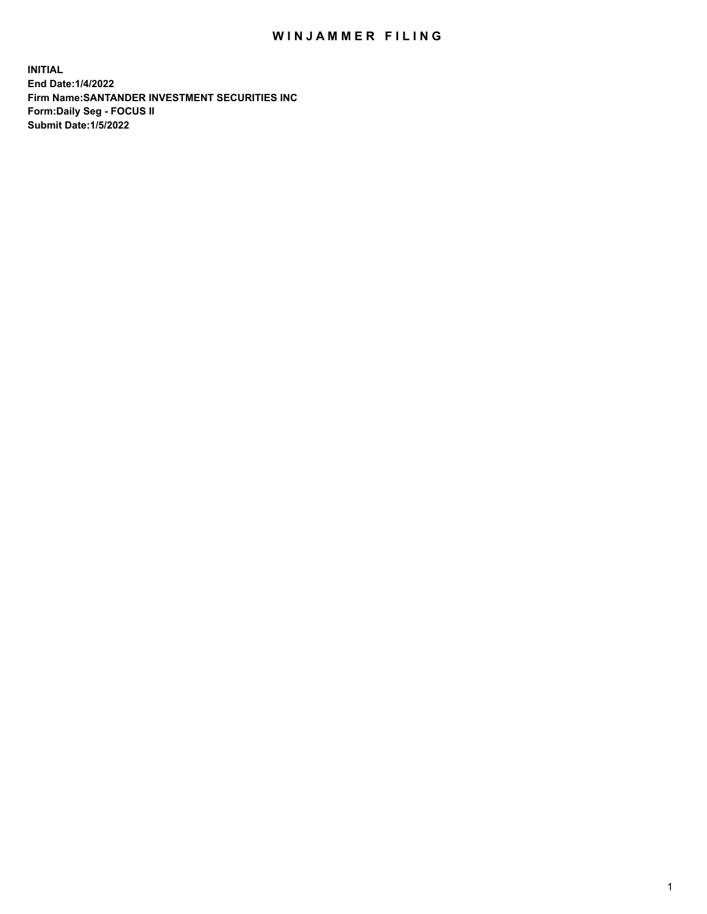## WIN JAMMER FILING

**INITIAL End Date:1/4/2022 Firm Name:SANTANDER INVESTMENT SECURITIES INC Form:Daily Seg - FOCUS II Submit Date:1/5/2022**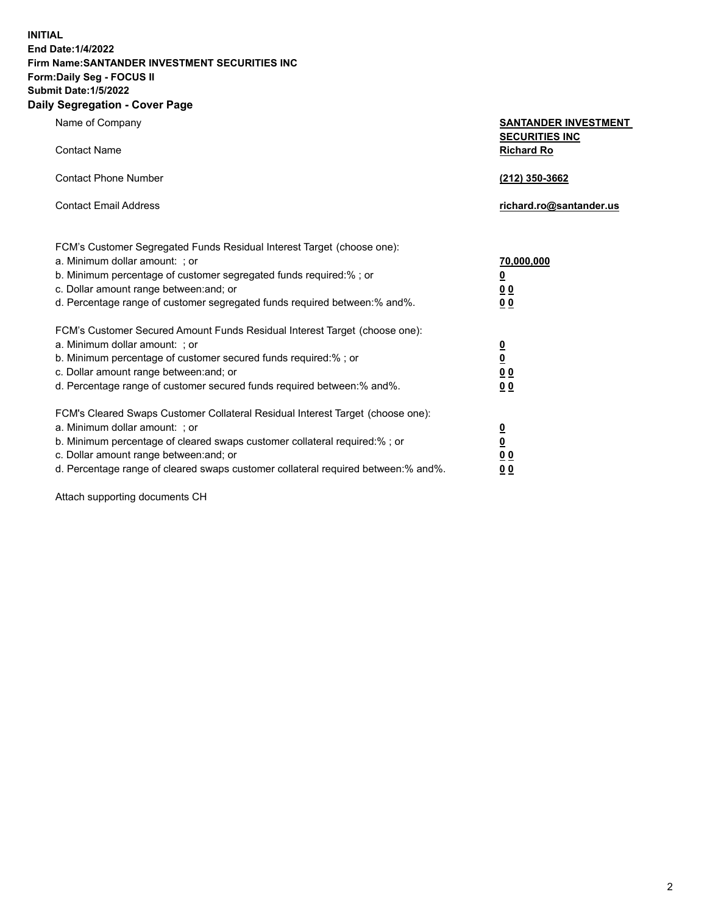**INITIAL End Date:1/4/2022 Firm Name:SANTANDER INVESTMENT SECURITIES INC Form:Daily Seg - FOCUS II Submit Date:1/5/2022 Daily Segregation - Cover Page**

| Name of Company                                                                   | <b>SANTANDER INVESTMENT</b><br><b>SECURITIES INC</b> |
|-----------------------------------------------------------------------------------|------------------------------------------------------|
| <b>Contact Name</b>                                                               | <b>Richard Ro</b>                                    |
| <b>Contact Phone Number</b>                                                       | (212) 350-3662                                       |
| <b>Contact Email Address</b>                                                      | richard.ro@santander.us                              |
| FCM's Customer Segregated Funds Residual Interest Target (choose one):            |                                                      |
| a. Minimum dollar amount: ; or                                                    | 70,000,000                                           |
| b. Minimum percentage of customer segregated funds required:% ; or                | $\overline{\mathbf{0}}$                              |
| c. Dollar amount range between: and; or                                           | 0 <sub>0</sub>                                       |
| d. Percentage range of customer segregated funds required between:% and%.         | 0 <sub>0</sub>                                       |
| FCM's Customer Secured Amount Funds Residual Interest Target (choose one):        |                                                      |
| a. Minimum dollar amount: ; or                                                    | $\overline{\mathbf{0}}$                              |
| b. Minimum percentage of customer secured funds required:%; or                    | $\overline{\mathbf{0}}$                              |
| c. Dollar amount range between: and; or                                           | 0 <sub>0</sub>                                       |
| d. Percentage range of customer secured funds required between:% and%.            | 0 <sub>0</sub>                                       |
| FCM's Cleared Swaps Customer Collateral Residual Interest Target (choose one):    |                                                      |
| a. Minimum dollar amount: ; or                                                    | <u>0</u>                                             |
| b. Minimum percentage of cleared swaps customer collateral required:%; or         | $\underline{\mathbf{0}}$                             |
| c. Dollar amount range between: and; or                                           | 0 <sub>0</sub>                                       |
| d. Percentage range of cleared swaps customer collateral required between:% and%. | 0 <sub>0</sub>                                       |

Attach supporting documents CH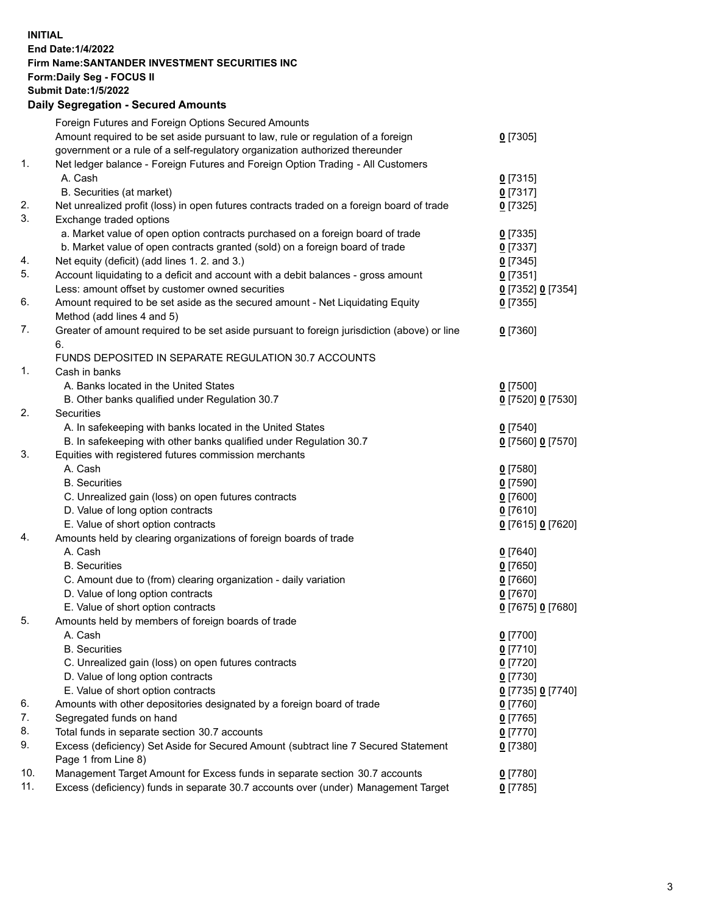## **INITIAL End Date:1/4/2022 Firm Name:SANTANDER INVESTMENT SECURITIES INC Form:Daily Seg - FOCUS II Submit Date:1/5/2022 Daily Segregation - Secured Amounts** Foreign Futures and Foreign Options Secured Amounts Amount required to be set aside pursuant to law, rule or regulation of a foreign government or a rule of a self-regulatory organization authorized thereunder 1. Net ledger balance - Foreign Futures and Foreign Option Trading - All Customers A. Cash **0** [7315] B. Securities (at market) **0** [7317] 2. Net unrealized profit (loss) in open futures contracts traded on a foreign board of trade **0** [7325]<br>3. Exchange traded options Exchange traded options

|     | a. Market value of open option contracts purchased on a foreign board of trade                                                     | $0$ [7335]                      |
|-----|------------------------------------------------------------------------------------------------------------------------------------|---------------------------------|
| 4.  | b. Market value of open contracts granted (sold) on a foreign board of trade                                                       | $0$ [7337]                      |
| 5.  | Net equity (deficit) (add lines 1. 2. and 3.)<br>Account liquidating to a deficit and account with a debit balances - gross amount | $0$ [7345]<br>$0$ [7351]        |
|     | Less: amount offset by customer owned securities                                                                                   |                                 |
| 6.  | Amount required to be set aside as the secured amount - Net Liquidating Equity                                                     | 0 [7352] 0 [7354]<br>$0$ [7355] |
|     | Method (add lines 4 and 5)                                                                                                         |                                 |
| 7.  | Greater of amount required to be set aside pursuant to foreign jurisdiction (above) or line                                        | $0$ [7360]                      |
|     | 6.                                                                                                                                 |                                 |
|     | FUNDS DEPOSITED IN SEPARATE REGULATION 30.7 ACCOUNTS                                                                               |                                 |
| 1.  | Cash in banks                                                                                                                      |                                 |
|     | A. Banks located in the United States                                                                                              | $0$ [7500]                      |
|     | B. Other banks qualified under Regulation 30.7                                                                                     | 0 [7520] 0 [7530]               |
| 2.  | Securities                                                                                                                         |                                 |
|     | A. In safekeeping with banks located in the United States                                                                          | $0$ [7540]                      |
|     | B. In safekeeping with other banks qualified under Regulation 30.7                                                                 | 0 [7560] 0 [7570]               |
| 3.  | Equities with registered futures commission merchants                                                                              |                                 |
|     | A. Cash                                                                                                                            | $0$ [7580]                      |
|     | <b>B.</b> Securities                                                                                                               | $0$ [7590]                      |
|     | C. Unrealized gain (loss) on open futures contracts                                                                                | $0$ [7600]                      |
|     | D. Value of long option contracts                                                                                                  | $0$ [7610]                      |
|     | E. Value of short option contracts                                                                                                 | 0 [7615] 0 [7620]               |
| 4.  | Amounts held by clearing organizations of foreign boards of trade                                                                  |                                 |
|     | A. Cash                                                                                                                            | $0$ [7640]                      |
|     | <b>B.</b> Securities                                                                                                               | $0$ [7650]                      |
|     | C. Amount due to (from) clearing organization - daily variation                                                                    | $0$ [7660]                      |
|     | D. Value of long option contracts                                                                                                  | $0$ [7670]                      |
|     | E. Value of short option contracts                                                                                                 | 0 [7675] 0 [7680]               |
| 5.  | Amounts held by members of foreign boards of trade                                                                                 |                                 |
|     | A. Cash                                                                                                                            | $0$ [7700]                      |
|     | <b>B.</b> Securities                                                                                                               | $0$ [7710]                      |
|     | C. Unrealized gain (loss) on open futures contracts                                                                                | $0$ [7720]                      |
|     | D. Value of long option contracts                                                                                                  | $0$ [7730]                      |
|     | E. Value of short option contracts                                                                                                 | 0 [7735] 0 [7740]               |
| 6.  | Amounts with other depositories designated by a foreign board of trade                                                             | $0$ [7760]                      |
| 7.  | Segregated funds on hand                                                                                                           | $0$ [7765]                      |
| 8.  | Total funds in separate section 30.7 accounts                                                                                      | $0$ [7770]                      |
| 9.  | Excess (deficiency) Set Aside for Secured Amount (subtract line 7 Secured Statement                                                | $0$ [7380]                      |
|     | Page 1 from Line 8)                                                                                                                |                                 |
| 10. | Management Target Amount for Excess funds in separate section 30.7 accounts                                                        | $0$ [7780]                      |
| 11. | Excess (deficiency) funds in separate 30.7 accounts over (under) Management Target                                                 | $0$ [7785]                      |
|     |                                                                                                                                    |                                 |

**0** [7305]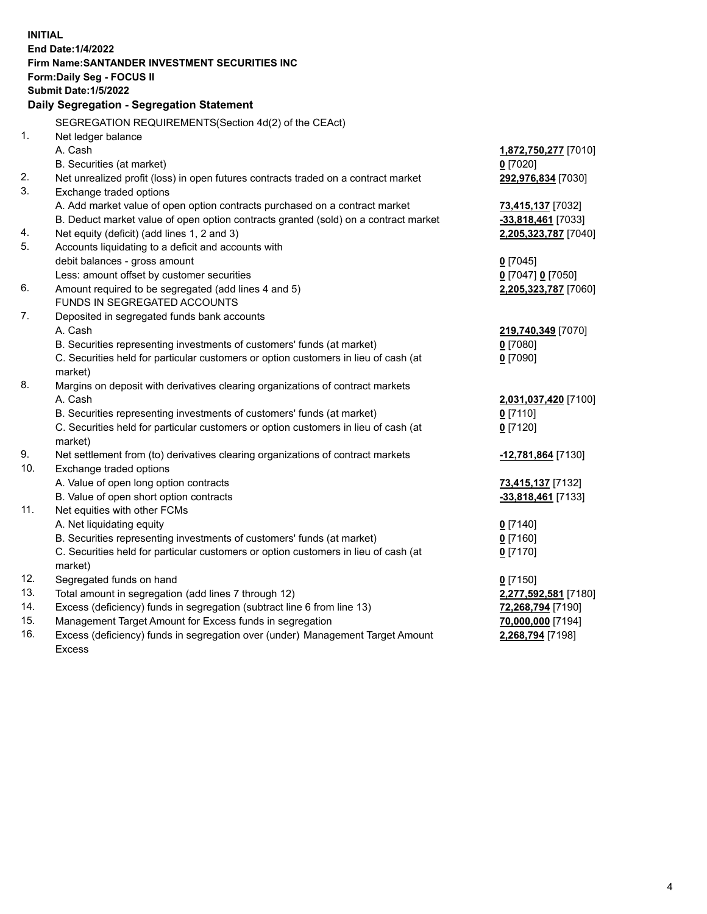| <b>INITIAL</b> |                                                                                                                                 |                                       |
|----------------|---------------------------------------------------------------------------------------------------------------------------------|---------------------------------------|
|                | <b>End Date: 1/4/2022</b>                                                                                                       |                                       |
|                | Firm Name: SANTANDER INVESTMENT SECURITIES INC                                                                                  |                                       |
|                | Form: Daily Seg - FOCUS II                                                                                                      |                                       |
|                | <b>Submit Date: 1/5/2022</b>                                                                                                    |                                       |
|                | Daily Segregation - Segregation Statement                                                                                       |                                       |
|                | SEGREGATION REQUIREMENTS(Section 4d(2) of the CEAct)                                                                            |                                       |
| 1.             | Net ledger balance                                                                                                              |                                       |
|                | A. Cash                                                                                                                         | 1,872,750,277 [7010]                  |
|                | B. Securities (at market)                                                                                                       | $0$ [7020]                            |
| 2.             | Net unrealized profit (loss) in open futures contracts traded on a contract market                                              | 292,976,834 [7030]                    |
| 3.             | Exchange traded options                                                                                                         |                                       |
|                | A. Add market value of open option contracts purchased on a contract market                                                     | 73,415,137 [7032]                     |
|                | B. Deduct market value of open option contracts granted (sold) on a contract market                                             | -33,818,461 [7033]                    |
| 4.             | Net equity (deficit) (add lines 1, 2 and 3)                                                                                     | 2,205,323,787 [7040]                  |
| 5.             | Accounts liquidating to a deficit and accounts with                                                                             |                                       |
|                | debit balances - gross amount                                                                                                   | $0$ [7045]                            |
|                | Less: amount offset by customer securities                                                                                      | 0 [7047] 0 [7050]                     |
| 6.             | Amount required to be segregated (add lines 4 and 5)                                                                            | 2,205,323,787 [7060]                  |
|                | FUNDS IN SEGREGATED ACCOUNTS                                                                                                    |                                       |
| 7.             | Deposited in segregated funds bank accounts                                                                                     |                                       |
|                | A. Cash                                                                                                                         | 219,740,349 [7070]                    |
|                | B. Securities representing investments of customers' funds (at market)                                                          | $0$ [7080]                            |
|                | C. Securities held for particular customers or option customers in lieu of cash (at                                             | $0$ [7090]                            |
|                | market)                                                                                                                         |                                       |
| 8.             | Margins on deposit with derivatives clearing organizations of contract markets                                                  |                                       |
|                | A. Cash                                                                                                                         | 2,031,037,420 [7100]                  |
|                | B. Securities representing investments of customers' funds (at market)                                                          | $0$ [7110]                            |
|                | C. Securities held for particular customers or option customers in lieu of cash (at                                             | $0$ [7120]                            |
|                | market)                                                                                                                         |                                       |
| 9.             | Net settlement from (to) derivatives clearing organizations of contract markets                                                 | -12,781,864 [7130]                    |
| 10.            | Exchange traded options                                                                                                         |                                       |
|                | A. Value of open long option contracts                                                                                          | 73,415,137 [7132]                     |
|                | B. Value of open short option contracts                                                                                         | -33,818,461 [7133]                    |
| 11.            | Net equities with other FCMs                                                                                                    |                                       |
|                | A. Net liquidating equity                                                                                                       | $0$ [7140]                            |
|                | B. Securities representing investments of customers' funds (at market)                                                          | $0$ [7160]                            |
|                | C. Securities held for particular customers or option customers in lieu of cash (at                                             | $0$ [7170]                            |
| 12.            | market)                                                                                                                         |                                       |
| 13.            | Segregated funds on hand                                                                                                        | $0$ [7150]                            |
| 14.            | Total amount in segregation (add lines 7 through 12)<br>Excess (deficiency) funds in segregation (subtract line 6 from line 13) | 2,277,592,581 [7180]                  |
| 15.            | Management Target Amount for Excess funds in segregation                                                                        | 72,268,794 [7190]                     |
| 16.            | Excess (deficiency) funds in segregation over (under) Management Target Amount                                                  | 70,000,000 [7194]<br>2,268,794 [7198] |
|                | <b>Excess</b>                                                                                                                   |                                       |
|                |                                                                                                                                 |                                       |